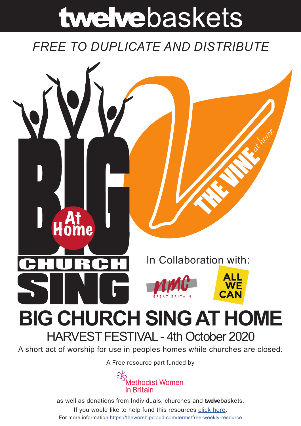# twelvebaskets

# *FREE TO DUPLICATE AND DISTRIBUTE*



A short act of worship for use in peoples homes while churches are closed.

A [Free resource part funded](https://mwib.org.uk) by



as well as donations from Individuals, churches and **twelve**baskets. If you would like to help fund this resources [click here](https://theworshipcloud.com/tags/donation). For more information<https://theworshipcloud.com/terms/free-weekly-resource>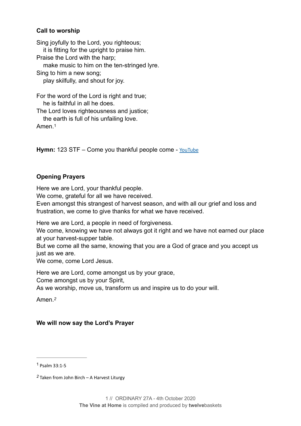#### **Call to worship**

Sing joyfully to the Lord, you righteous; it is fitting for the upright to praise him. Praise the Lord with the harp; make music to him on the ten-stringed lyre. Sing to him a new song; play skilfully, and shout for joy.

For the word of the Lord is right and true; he is faithful in all he does.

The Lord loves righteousness and justice;

<span id="page-1-2"></span> the earth is full of his unfailing love. Amen<sup>[1](#page-1-0)</sup>

**Hymn:** 123 STF – Come you thankful people come - [YouTube](https://www.youtube.com/watch?v=AOwibuy1uV8)

#### **Opening Prayers**

Here we are Lord, your thankful people.

We come, grateful for all we have received.

Even amongst this strangest of harvest season, and with all our grief and loss and frustration, we come to give thanks for what we have received.

Here we are Lord, a people in need of forgiveness.

We come, knowing we have not always got it right and we have not earned our place at your harvest-supper table.

But we come all the same, knowing that you are a God of grace and you accept us just as we are.

We come, come Lord Jesus.

Here we are Lord, come amongst us by your grace, Come amongst us by your Spirit,

As we worship, move us, transform us and inspire us to do your will.

<span id="page-1-3"></span>Amen.*[2](#page-1-1)*

#### **We will now say the Lord's Prayer**

<span id="page-1-0"></span>Psalm 33:1-5 [1](#page-1-2)

<span id="page-1-1"></span>Taken from John Birch – A Harvest Liturgy *[2](#page-1-3)*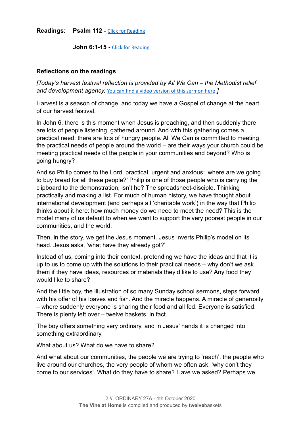**Readings**: **Psalm 112 -** [Click for Reading](https://www.biblegateway.com/passage/?search=Psalm+112&version=NRSV)

**John 6:1-15 -** [Click for Reading](https://www.biblegateway.com/passage/?search=John+6:1-15&version=NRSV)

#### **Reflections on the readings**

*[Today's harvest festival reflection is provided by All We Can – the Methodist relief and development agency.* [You can find a video version of this sermon here](http://youtube.com/watch?v=JmKxDmZkmfs) *]* 

Harvest is a season of change, and today we have a Gospel of change at the heart of our harvest festival.

In John 6, there is this moment when Jesus is preaching, and then suddenly there are lots of people listening, gathered around. And with this gathering comes a practical need: there are lots of hungry people. All We Can is committed to meeting the practical needs of people around the world – are their ways your church could be meeting practical needs of the people in your communities and beyond? Who is going hungry?

And so Philip comes to the Lord, practical, urgent and anxious: 'where are we going to buy bread for all these people?' Philip is one of those people who is carrying the clipboard to the demonstration, isn't he? The spreadsheet-disciple. Thinking practically and making a list. For much of human history, we have thought about international development (and perhaps all 'charitable work') in the way that Philip thinks about it here: how much money do we need to meet the need? This is the model many of us default to when we want to support the very poorest people in our communities, and the world.

Then, in the story, we get the Jesus moment. Jesus inverts Philip's model on its head. Jesus asks, 'what have they already got?'

Instead of us, coming into their context, pretending we have the ideas and that it is up to us to come up with the solutions to their practical needs – why don't we ask them if they have ideas, resources or materials they'd like to use? Any food they would like to share?

And the little boy, the illustration of so many Sunday school sermons, steps forward with his offer of his loaves and fish. And the miracle happens. A miracle of generosity – where suddenly everyone is sharing their food and all fed. Everyone is satisfied. There is plenty left over – twelve baskets, in fact.

The boy offers something very ordinary, and in Jesus' hands it is changed into something extraordinary.

What about us? What do we have to share?

And what about our communities, the people we are trying to 'reach', the people who live around our churches, the very people of whom we often ask: 'why don't they come to our services'. What do they have to share? Have we asked? Perhaps we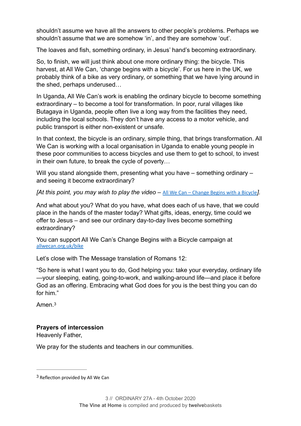shouldn't assume we have all the answers to other people's problems. Perhaps we shouldn't assume that we are somehow 'in', and they are somehow 'out'.

The loaves and fish, something ordinary, in Jesus' hand's becoming extraordinary.

So, to finish, we will just think about one more ordinary thing: the bicycle. This harvest, at All We Can, 'change begins with a bicycle'. For us here in the UK, we probably think of a bike as very ordinary, or something that we have lying around in the shed, perhaps underused…

In Uganda, All We Can's work is enabling the ordinary bicycle to become something extraordinary – to become a tool for transformation. In poor, rural villages like Butagaya in Uganda, people often live a long way from the facilities they need, including the local schools. They don't have any access to a motor vehicle, and public transport is either non-existent or unsafe.

In that context, the bicycle is an ordinary, simple thing, that brings transformation. All We Can is working with a local organisation in Uganda to enable young people in these poor communities to access bicycles and use them to get to school, to invest in their own future, to break the cycle of poverty…

Will you stand alongside them, presenting what you have – something ordinary – and seeing it become extraordinary?

*[At this point, you may wish to play the video –* [All We Can – Change Begins with a Bicycle](https://www.youtube.com/watch?v=VAqlF2dd4NM&feature=youtu.be)*].* 

And what about you? What do you have, what does each of us have, that we could place in the hands of the master today? What gifts, ideas, energy, time could we offer to Jesus – and see our ordinary day-to-day lives become something extraordinary?

You can support All We Can's Change Begins with a Bicycle campaign at [allwecan.org.uk/bike](http://allwecan.org.uk/bike)

Let's close with The Message translation of Romans 12:

"So here is what I want you to do, God helping you: take your everyday, ordinary life —your sleeping, eating, going-to-work, and walking-around life—and place it before God as an offering. Embracing what God does for you is the best thing you can do for him."

<span id="page-3-1"></span>Amen<sup>[3](#page-3-0)</sup>

# **Prayers of intercession**

Heavenly Father,

We pray for the students and teachers in our communities.

<span id="page-3-0"></span> $3$  Reflection provided by All We Can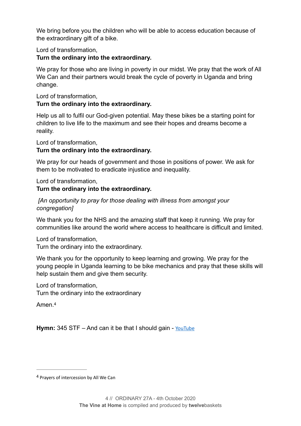We bring before you the children who will be able to access education because of the extraordinary gift of a bike.

Lord of transformation,

### **Turn the ordinary into the extraordinary.**

We pray for those who are living in poverty in our midst. We pray that the work of All We Can and their partners would break the cycle of poverty in Uganda and bring change.

Lord of transformation, **Turn the ordinary into the extraordinary.** 

Help us all to fulfil our God-given potential. May these bikes be a starting point for children to live life to the maximum and see their hopes and dreams become a reality.

Lord of transformation,

# **Turn the ordinary into the extraordinary.**

We pray for our heads of government and those in positions of power. We ask for them to be motivated to eradicate injustice and inequality.

Lord of transformation,

# **Turn the ordinary into the extraordinary.**

 *[An opportunity to pray for those dealing with illness from amongst your congregation]* 

We thank you for the NHS and the amazing staff that keep it running. We pray for communities like around the world where access to healthcare is difficult and limited.

Lord of transformation,

Turn the ordinary into the extraordinary.

We thank you for the opportunity to keep learning and growing. We pray for the young people in Uganda learning to be bike mechanics and pray that these skills will help sustain them and give them security.

Lord of transformation, Turn the ordinary into the extraordinary

<span id="page-4-1"></span>Amen.[4](#page-4-0)

Hymn: 345 STF – And can it be that I should gain - [YouTube](https://www.youtube.com/watch?v=GlwDCmTkRhM)

<span id="page-4-0"></span><sup>&</sup>lt;sup>[4](#page-4-1)</sup> Prayers of intercession by All We Can